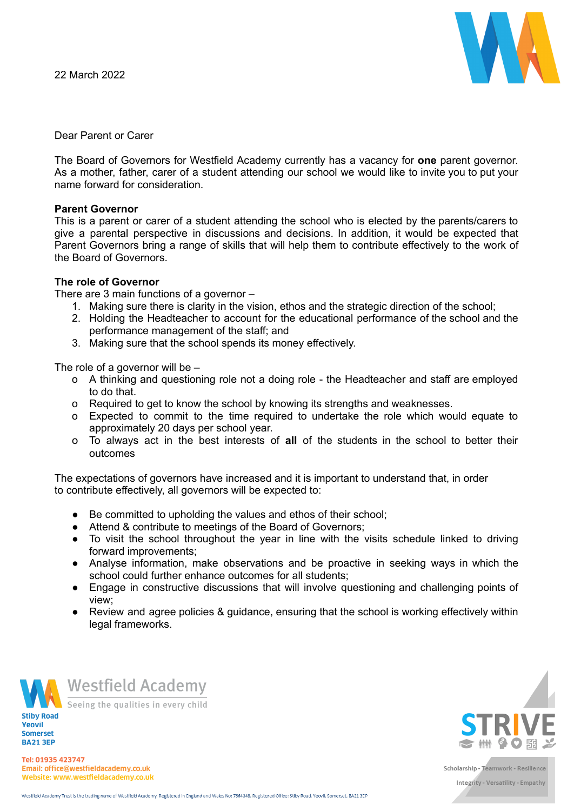

Dear Parent or Carer

The Board of Governors for Westfield Academy currently has a vacancy for **one** parent governor. As a mother, father, carer of a student attending our school we would like to invite you to put your name forward for consideration.

### **Parent Governor**

This is a parent or carer of a student attending the school who is elected by the parents/carers to give a parental perspective in discussions and decisions. In addition, it would be expected that Parent Governors bring a range of skills that will help them to contribute effectively to the work of the Board of Governors.

## **The role of Governor**

There are 3 main functions of a governor –

- 1. Making sure there is clarity in the vision, ethos and the strategic direction of the school;
- 2. Holding the Headteacher to account for the educational performance of the school and the performance management of the staff; and
- 3. Making sure that the school spends its money effectively.

The role of a governor will be –

- o A thinking and questioning role not a doing role the Headteacher and staff are employed to do that.
- o Required to get to know the school by knowing its strengths and weaknesses.
- o Expected to commit to the time required to undertake the role which would equate to approximately 20 days per school year.
- o To always act in the best interests of **all** of the students in the school to better their outcomes

The expectations of governors have increased and it is important to understand that, in order to contribute effectively, all governors will be expected to:

- Be committed to upholding the values and ethos of their school;
- Attend & contribute to meetings of the Board of Governors;
- To visit the school throughout the year in line with the visits schedule linked to driving forward improvements;
- Analyse information, make observations and be proactive in seeking ways in which the school could further enhance outcomes for all students;
- Engage in constructive discussions that will involve questioning and challenging points of view;
- Review and agree policies & guidance, ensuring that the school is working effectively within legal frameworks.



Yeovil **Somerset BA21 3EP** 



Seeing the qualities in every child



Tel: 01935 423747 Email: office@westfieldacademy.co.uk Website: www.westfieldacademy.co.uk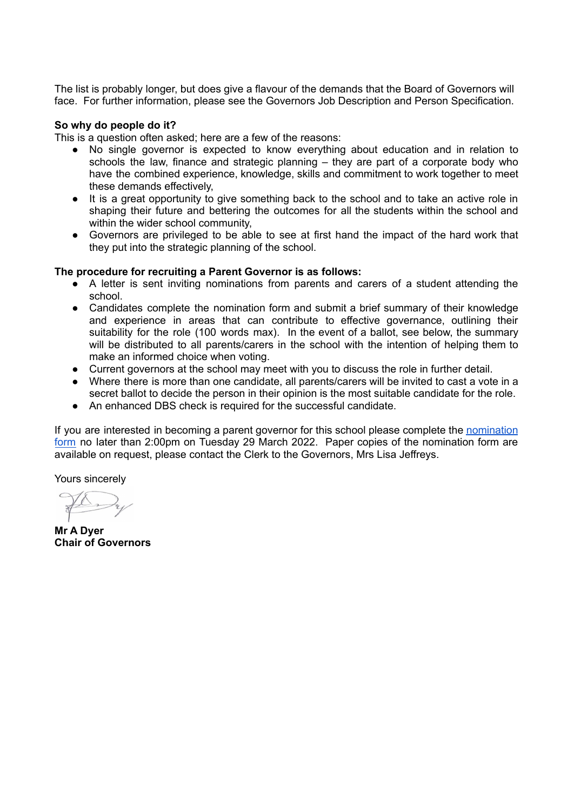The list is probably longer, but does give a flavour of the demands that the Board of Governors will face. For further information, please see the Governors Job Description and Person Specification.

#### **So why do people do it?**

This is a question often asked; here are a few of the reasons:

- No single governor is expected to know everything about education and in relation to schools the law, finance and strategic planning – they are part of a corporate body who have the combined experience, knowledge, skills and commitment to work together to meet these demands effectively,
- It is a great opportunity to give something back to the school and to take an active role in shaping their future and bettering the outcomes for all the students within the school and within the wider school community,
- Governors are privileged to be able to see at first hand the impact of the hard work that they put into the strategic planning of the school.

### **The procedure for recruiting a Parent Governor is as follows:**

- A letter is sent inviting nominations from parents and carers of a student attending the school.
- Candidates complete the nomination form and submit a brief summary of their knowledge and experience in areas that can contribute to effective governance, outlining their suitability for the role (100 words max). In the event of a ballot, see below, the summary will be distributed to all parents/carers in the school with the intention of helping them to make an informed choice when voting.
- Current governors at the school may meet with you to discuss the role in further detail.
- Where there is more than one candidate, all parents/carers will be invited to cast a vote in a secret ballot to decide the person in their opinion is the most suitable candidate for the role.
- An enhanced DBS check is required for the successful candidate.

If you are interested in becoming a parent governor for this school please complete the [nomination](https://docs.google.com/forms/d/e/1FAIpQLSeJynyV1_gqHI6vPTCWXAxEOiSge55Yql2JuY8zmK4s9bGLCQ/viewform?usp=sf_link4B79UuBD0Utx4z7wHfgoWQRup_BJu7A/viewform?usp=sf_link) [form](https://docs.google.com/forms/d/e/1FAIpQLSeJynyV1_gqHI6vPTCWXAxEOiSge55Yql2JuY8zmK4s9bGLCQ/viewform?usp=sf_link4B79UuBD0Utx4z7wHfgoWQRup_BJu7A/viewform?usp=sf_link) no later than 2:00pm on Tuesday 29 March 2022. Paper copies of the nomination form are available on request, please contact the Clerk to the Governors, Mrs Lisa Jeffreys.

Yours sincerely

**Mr A Dyer Chair of Governors**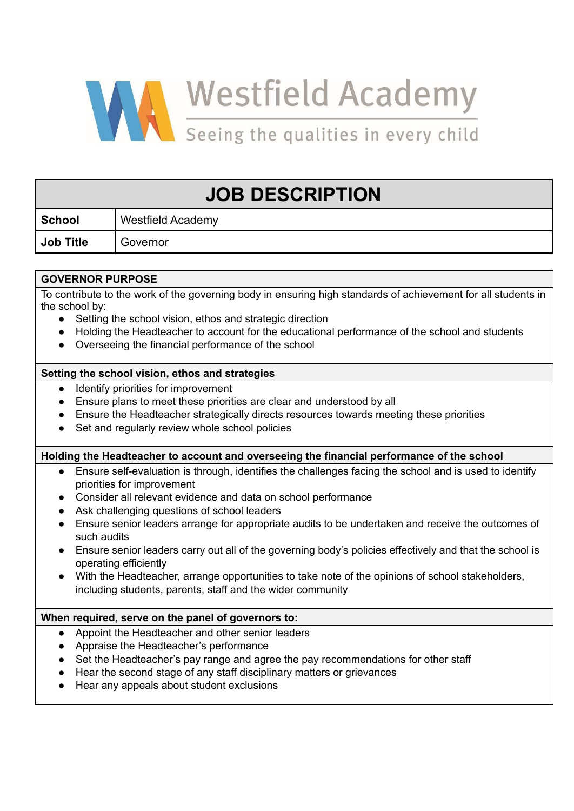

| <b>JOB DESCRIPTION</b>                                                                                                                                           |                                                                                                         |
|------------------------------------------------------------------------------------------------------------------------------------------------------------------|---------------------------------------------------------------------------------------------------------|
| <b>School</b>                                                                                                                                                    | <b>Westfield Academy</b>                                                                                |
| <b>Job Title</b>                                                                                                                                                 | Governor                                                                                                |
|                                                                                                                                                                  |                                                                                                         |
| <b>GOVERNOR PURPOSE</b>                                                                                                                                          |                                                                                                         |
| To contribute to the work of the governing body in ensuring high standards of achievement for all students in<br>the school by:                                  |                                                                                                         |
| Setting the school vision, ethos and strategic direction                                                                                                         |                                                                                                         |
| Holding the Headteacher to account for the educational performance of the school and students<br>$\bullet$<br>Overseeing the financial performance of the school |                                                                                                         |
| Setting the school vision, ethos and strategies                                                                                                                  |                                                                                                         |
| Identify priorities for improvement<br>$\bullet$                                                                                                                 |                                                                                                         |
| Ensure plans to meet these priorities are clear and understood by all<br>$\bullet$                                                                               |                                                                                                         |
| Ensure the Headteacher strategically directs resources towards meeting these priorities                                                                          |                                                                                                         |
| Set and regularly review whole school policies                                                                                                                   |                                                                                                         |
| Holding the Headteacher to account and overseeing the financial performance of the school                                                                        |                                                                                                         |
| $\bullet$                                                                                                                                                        | Ensure self-evaluation is through, identifies the challenges facing the school and is used to identify  |
|                                                                                                                                                                  | priorities for improvement                                                                              |
| Consider all relevant evidence and data on school performance<br>$\bullet$<br>Ask challenging questions of school leaders<br>$\bullet$                           |                                                                                                         |
| Ensure senior leaders arrange for appropriate audits to be undertaken and receive the outcomes of                                                                |                                                                                                         |
| such audits                                                                                                                                                      |                                                                                                         |
|                                                                                                                                                                  | Ensure senior leaders carry out all of the governing body's policies effectively and that the school is |
|                                                                                                                                                                  | operating efficiently                                                                                   |
|                                                                                                                                                                  | With the Headteacher, arrange opportunities to take note of the opinions of school stakeholders,        |
|                                                                                                                                                                  | including students, parents, staff and the wider community                                              |
| When required, serve on the panel of governors to:                                                                                                               |                                                                                                         |
| $\bullet$                                                                                                                                                        | Appoint the Headteacher and other senior leaders                                                        |
|                                                                                                                                                                  | Appraise the Headteacher's performance                                                                  |
|                                                                                                                                                                  | Set the Headteacher's pay range and agree the pay recommendations for other staff                       |
|                                                                                                                                                                  | Hear the second stage of any staff disciplinary matters or grievances                                   |
|                                                                                                                                                                  | Hear any appeals about student exclusions                                                               |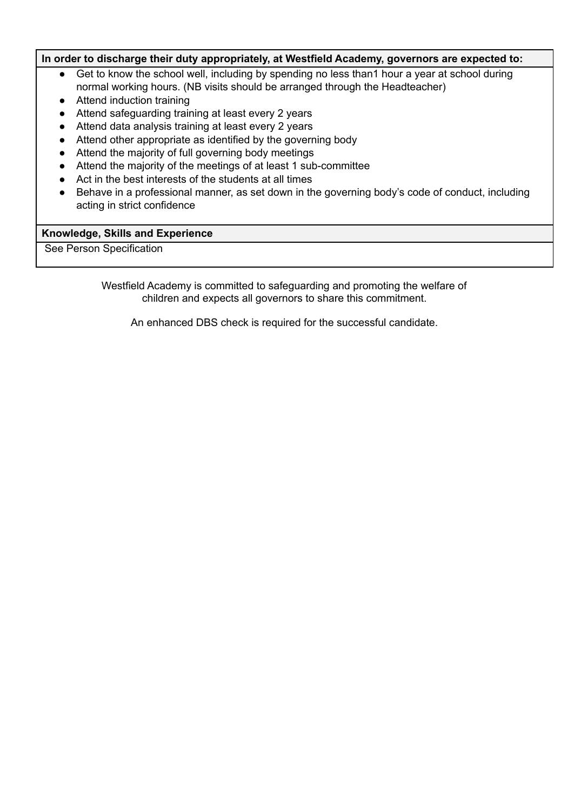## **In order to discharge their duty appropriately, at Westfield Academy, governors are expected to:**

- Get to know the school well, including by spending no less than 1 hour a year at school during normal working hours. (NB visits should be arranged through the Headteacher)
- Attend induction training
- Attend safeguarding training at least every 2 years
- Attend data analysis training at least every 2 years
- Attend other appropriate as identified by the governing body
- Attend the majority of full governing body meetings
- Attend the majority of the meetings of at least 1 sub-committee
- Act in the best interests of the students at all times
- Behave in a professional manner, as set down in the governing body's code of conduct, including acting in strict confidence

### **Knowledge, Skills and Experience**

See Person Specification

Westfield Academy is committed to safeguarding and promoting the welfare of children and expects all governors to share this commitment.

An enhanced DBS check is required for the successful candidate.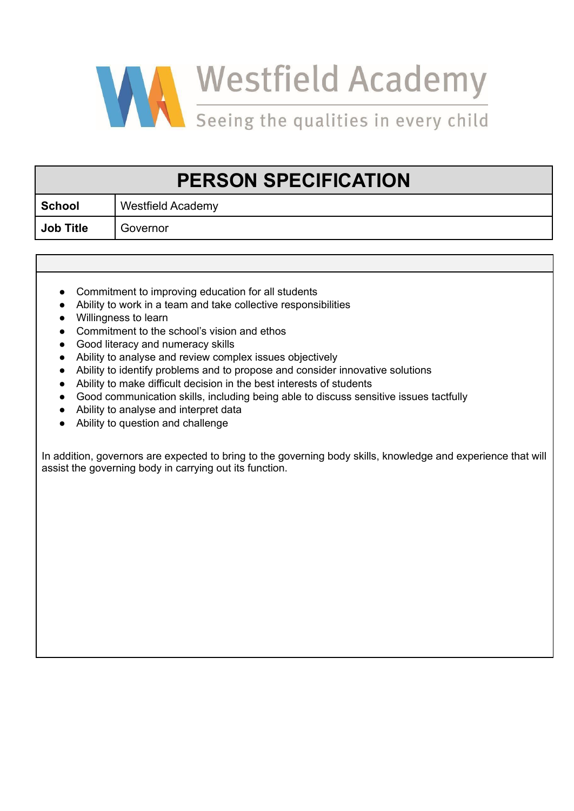

# **PERSON SPECIFICATION**

**School** Westfield Academy **Job Title** Governor

- Commitment to improving education for all students
- Ability to work in a team and take collective responsibilities
- Willingness to learn
- Commitment to the school's vision and ethos
- Good literacy and numeracy skills
- Ability to analyse and review complex issues objectively
- Ability to identify problems and to propose and consider innovative solutions
- Ability to make difficult decision in the best interests of students
- Good communication skills, including being able to discuss sensitive issues tactfully
- Ability to analyse and interpret data
- Ability to question and challenge

In addition, governors are expected to bring to the governing body skills, knowledge and experience that will assist the governing body in carrying out its function.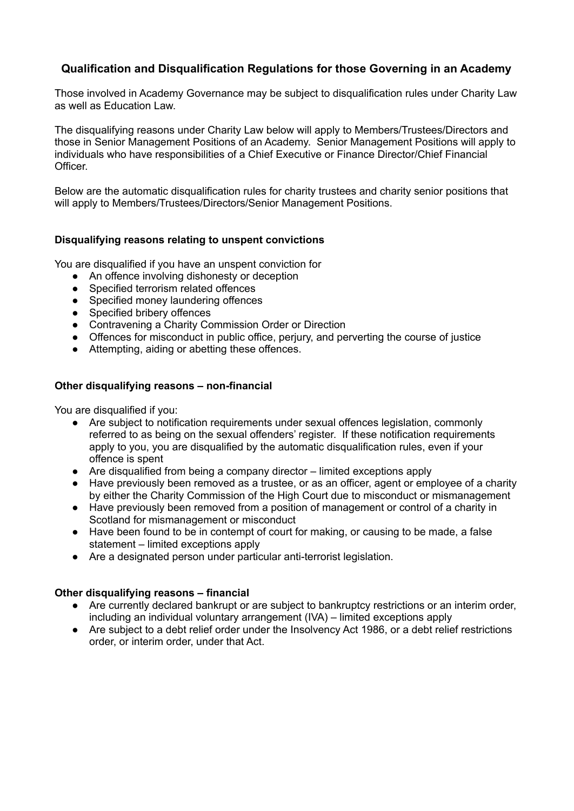## **Qualification and Disqualification Regulations for those Governing in an Academy**

Those involved in Academy Governance may be subject to disqualification rules under Charity Law as well as Education Law.

The disqualifying reasons under Charity Law below will apply to Members/Trustees/Directors and those in Senior Management Positions of an Academy. Senior Management Positions will apply to individuals who have responsibilities of a Chief Executive or Finance Director/Chief Financial Officer.

Below are the automatic disqualification rules for charity trustees and charity senior positions that will apply to Members/Trustees/Directors/Senior Management Positions.

## **Disqualifying reasons relating to unspent convictions**

You are disqualified if you have an unspent conviction for

- An offence involving dishonesty or deception
- Specified terrorism related offences
- Specified money laundering offences
- Specified bribery offences
- Contravening a Charity Commission Order or Direction
- Offences for misconduct in public office, perjury, and perverting the course of justice
- Attempting, aiding or abetting these offences.

## **Other disqualifying reasons – non-financial**

You are disqualified if you:

- Are subject to notification requirements under sexual offences legislation, commonly referred to as being on the sexual offenders' register. If these notification requirements apply to you, you are disqualified by the automatic disqualification rules, even if your offence is spent
- Are disqualified from being a company director limited exceptions apply
- Have previously been removed as a trustee, or as an officer, agent or employee of a charity by either the Charity Commission of the High Court due to misconduct or mismanagement
- Have previously been removed from a position of management or control of a charity in Scotland for mismanagement or misconduct
- Have been found to be in contempt of court for making, or causing to be made, a false statement – limited exceptions apply
- Are a designated person under particular anti-terrorist legislation.

## **Other disqualifying reasons – financial**

- Are currently declared bankrupt or are subject to bankruptcy restrictions or an interim order, including an individual voluntary arrangement (IVA) – limited exceptions apply
- Are subject to a debt relief order under the Insolvency Act 1986, or a debt relief restrictions order, or interim order, under that Act.